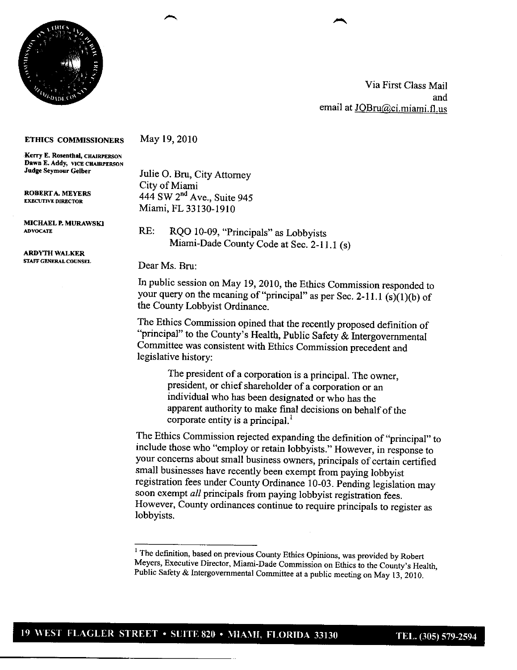

Via First Class Mail and email at JOBru@ci.miami.fl.us

## **ETHICS COMMISSIONERS**

May 19, 2010

**-Kerry E. Rosenthal, CHAIRPERSON Dawn E. Addy, VICE CHAIRPERSON**<br>**Judge Seymour Gelber** 

MICHAEL **P.** MURAWSKI

**ARDYTH WALKER<br>staff general counsel** 

**Julie O. Bru, City Attorney** City of Miami **ROBERT A. MEYERS** 444 SW 2<sup>nd</sup> Ave., Suite 945 Miami, FL 33130-1910

> RE: RQO 10-09, "Principals" as Lobbyists Miami-Dade County Code at Sec. 2-11.1 (s)

Dear Ms. Bru:

In public session on May 19, 2010, the Ethics Commission responded to your query on the meaning of "principal" as per Sec. 2-11.1 (s)(1)(b) of the County Lobbyist Ordinance.

The Ethics Commission opined that the recently proposed definition of "principal" to the County's Health, Public Safety & Intergovernmental Committee was consistent with Ethics Commission precedent and legislative history:

> The president of a corporation is a principal. The owner, president, or chief shareholder of a corporation or an individual who has been designated or who has the apparent authority to make final decisions on behalf of the corporate entity is a principal.'

The Ethics Commission rejected expanding the definition of "principal" to include those who "employ or retain lobbyists." However, in response to your concerns about small business owners, principals of certain certified small businesses have recently been exempt from paying lobbyist registration fees under County Ordinance 10-03. Pending legislation may soon exempt *all* principals from paying lobbyist registration fees. However, County ordinances continue to require principals to register as lobbyists.

<sup>&</sup>lt;sup>1</sup> The definition, based on previous County Ethics Opinions, was provided by Robert Meyers, Executive Director, Miami-Dade Commission on Ethics to the County's Health, Public Safety & Intergovernmental Committee at <sup>a</sup> public meeting on May 13, 2010.